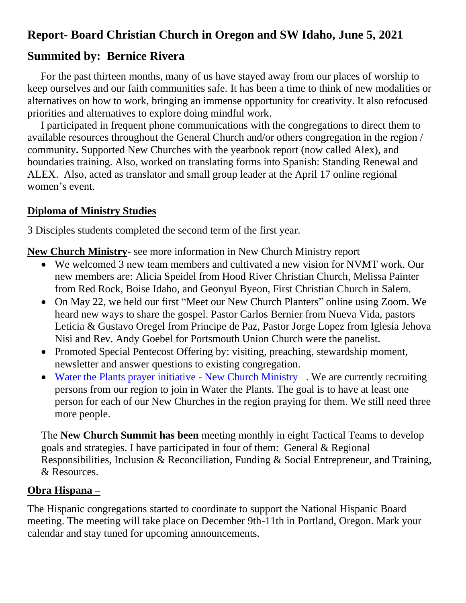# **Report- Board Christian Church in Oregon and SW Idaho, June 5, 2021**

## **Summited by: Bernice Rivera**

 For the past thirteen months, many of us have stayed away from our places of worship to keep ourselves and our faith communities safe. It has been a time to think of new modalities or alternatives on how to work, bringing an immense opportunity for creativity. It also refocused priorities and alternatives to explore doing mindful work.

 I participated in frequent phone communications with the congregations to direct them to available resources throughout the General Church and/or others congregation in the region / community**.** Supported New Churches with the yearbook report (now called Alex), and boundaries training. Also, worked on translating forms into Spanish: Standing Renewal and ALEX. Also, acted as translator and small group leader at the April 17 online regional women's event.

#### **Diploma of Ministry Studies**

3 Disciples students completed the second term of the first year.

**New Church Ministry**- see more information in New Church Ministry report

- We welcomed 3 new team members and cultivated a new vision for NVMT work. Our new members are: Alicia Speidel from Hood River Christian Church, Melissa Painter from Red Rock, Boise Idaho, and Geonyul Byeon, First Christian Church in Salem.
- On May 22, we held our first "Meet our New Church Planters" online using Zoom. We heard new ways to share the gospel. Pastor Carlos Bernier from Nueva Vida, pastors Leticia & Gustavo Oregel from Principe de Paz, Pastor Jorge Lopez from Iglesia Jehova Nisi and Rev. Andy Goebel for Portsmouth Union Church were the panelist.
- Promoted Special Pentecost Offering by: visiting, preaching, stewardship moment, newsletter and answer questions to existing congregation.
- [Water the Plants prayer initiative -](https://newchurchministry.org/services/water-plants-prayer-initiative/) New Church Ministry. We are currently recruiting persons from our region to join in Water the Plants. The goal is to have at least one person for each of our New Churches in the region praying for them. We still need three more people.

The **New Church Summit has been** meeting monthly in eight Tactical Teams to develop goals and strategies. I have participated in four of them: General & Regional Responsibilities, Inclusion & Reconciliation, Funding & Social Entrepreneur, and Training, & Resources.

### **Obra Hispana –**

The Hispanic congregations started to coordinate to support the National Hispanic Board meeting. The meeting will take place on December 9th-11th in Portland, Oregon. Mark your calendar and stay tuned for upcoming announcements.